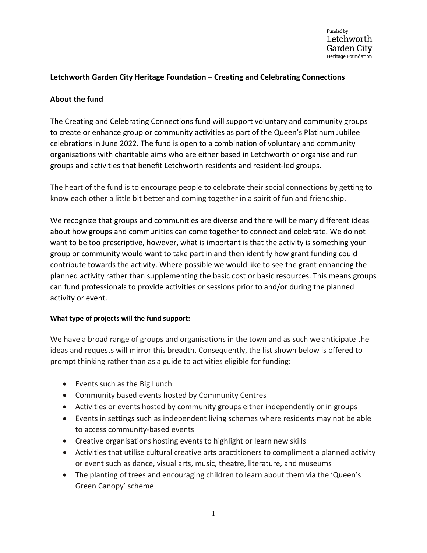# **Letchworth Garden City Heritage Foundation – Creating and Celebrating Connections**

### **About the fund**

The Creating and Celebrating Connections fund will support voluntary and community groups to create or enhance group or community activities as part of the Queen's Platinum Jubilee celebrations in June 2022. The fund is open to a combination of voluntary and community organisations with charitable aims who are either based in Letchworth or organise and run groups and activities that benefit Letchworth residents and resident-led groups.

The heart of the fund is to encourage people to celebrate their social connections by getting to know each other a little bit better and coming together in a spirit of fun and friendship.

We recognize that groups and communities are diverse and there will be many different ideas about how groups and communities can come together to connect and celebrate. We do not want to be too prescriptive, however, what is important is that the activity is something your group or community would want to take part in and then identify how grant funding could contribute towards the activity. Where possible we would like to see the grant enhancing the planned activity rather than supplementing the basic cost or basic resources. This means groups can fund professionals to provide activities or sessions prior to and/or during the planned activity or event.

#### **What type of projects will the fund support:**

We have a broad range of groups and organisations in the town and as such we anticipate the ideas and requests will mirror this breadth. Consequently, the list shown below is offered to prompt thinking rather than as a guide to activities eligible for funding:

- Events such as the Big Lunch
- Community based events hosted by Community Centres
- Activities or events hosted by community groups either independently or in groups
- Events in settings such as independent living schemes where residents may not be able to access community-based events
- Creative organisations hosting events to highlight or learn new skills
- Activities that utilise cultural creative arts practitioners to compliment a planned activity or event such as dance, visual arts, music, theatre, literature, and museums
- The planting of trees and encouraging children to learn about them via the 'Queen's Green Canopy' scheme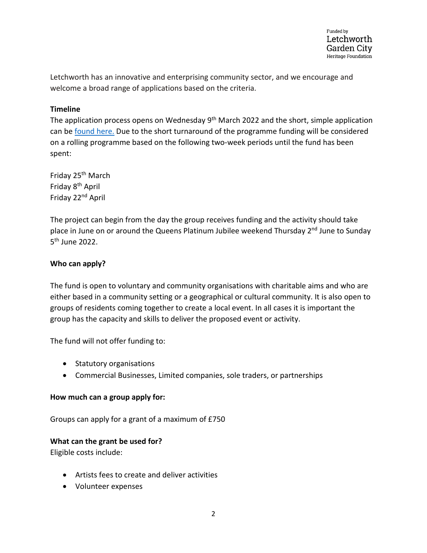Letchworth has an innovative and enterprising community sector, and we encourage and welcome a broad range of applications based on the criteria.

# **Timeline**

The application process opens on Wednesday 9<sup>th</sup> March 2022 and the short, simple application can be [found here.](https://www.letchworth.com/sites/default/files/documents/2022-03/Jubilee%20Grants%20App%20Form.docx) Due to the short turnaround of the programme funding will be considered on a rolling programme based on the following two-week periods until the fund has been spent:

Friday 25th March Friday 8th April Friday 22nd April

The project can begin from the day the group receives funding and the activity should take place in June on or around the Queens Platinum Jubilee weekend Thursday 2<sup>nd</sup> June to Sunday 5th June 2022.

## **Who can apply?**

The fund is open to voluntary and community organisations with charitable aims and who are either based in a community setting or a geographical or cultural community. It is also open to groups of residents coming together to create a local event. In all cases it is important the group has the capacity and skills to deliver the proposed event or activity.

The fund will not offer funding to:

- Statutory organisations
- Commercial Businesses, Limited companies, sole traders, or partnerships

#### **How much can a group apply for:**

Groups can apply for a grant of a maximum of £750

#### **What can the grant be used for?**

Eligible costs include:

- Artists fees to create and deliver activities
- Volunteer expenses